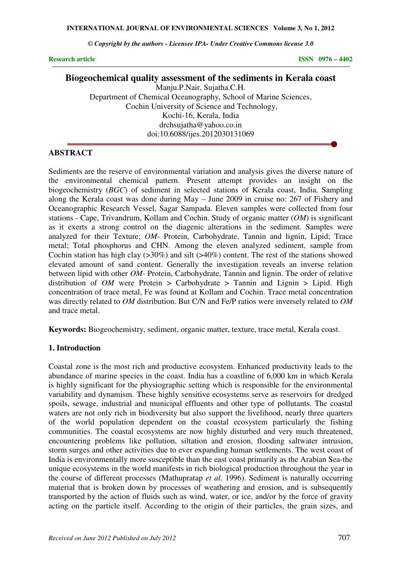*© Copyright by the authors - Licensee IPA- Under Creative Commons license 3.0* 

**Research article** ISSN 0976 – 4402

# **Biogeochemical quality assessment of the sediments in Kerala coast**

Manju.P.Nair, Sujatha.C.H. Department of Chemical Oceanography, School of Marine Sciences, Cochin University of Science and Technology, Kochi-16, Kerala, India drchsujatha@yahoo.co.in doi:10.6088/ijes.2012030131069

# **ABSTRACT**

Sediments are the reserve of environmental variation and analysis gives the diverse nature of the environmental chemical pattern. Present attempt provides an insight on the biogeochemistry (*BGC*) of sediment in selected stations of Kerala coast, India. Sampling along the Kerala coast was done during May – June 2009 in cruise no: 267 of Fishery and Oceanographic Research Vessel, Sagar Sampada. Eleven samples were collected from four stations - Cape, Trivandrum, Kollam and Cochin. Study of organic matter (*OM*) is significant as it exerts a strong control on the diagenic alterations in the sediment. Samples were analyzed for their Texture; *OM*- Protein, Carbohydrate, Tannin and lignin, Lipid; Trace metal; Total phosphorus and CHN. Among the eleven analyzed sediment, sample from Cochin station has high clay  $(>30\%)$  and silt  $(>40\%)$  content. The rest of the stations showed elevated amount of sand content. Generally the investigation reveals an inverse relation between lipid with other *OM-* Protein, Carbohydrate, Tannin and lignin. The order of relative distribution of *OM* were Protein > Carbohydrate > Tannin and Lignin > Lipid. High concentration of trace metal, Fe was found at Kollam and Cochin. Trace metal concentration was directly related to *OM* distribution. But C/N and Fe/P ratios were inversely related to *OM*  and trace metal.

**Keywords:** Biogeochemistry, sediment, organic matter, texture, trace metal, Kerala coast.

#### **1. Introduction**

Coastal zone is the most rich and productive ecosystem. Enhanced productivity leads to the abundance of marine species in the coast. India has a coastline of 6,000 km in which Kerala is highly significant for the physiographic setting which is responsible for the environmental variability and dynamism. These highly sensitive ecosystems serve as reservoirs for dredged spoils, sewage, industrial and municipal effluents and other type of pollutants. The coastal waters are not only rich in biodiversity but also support the livelihood, nearly three quarters of the world population dependent on the coastal ecosystem particularly the fishing communities. The coastal ecosystems are now highly disturbed and very much threatened, encountering problems like pollution, siltation and erosion, flooding saltwater intrusion, storm surges and other activities due to ever expanding human settlements. The west coast of India is environmentally more susceptible than the east coast primarily as the Arabian Sea-the unique ecosystems in the world manifests in rich biological production throughout the year in the course of different processes (Mathupratap *et al*. 1996). Sediment is naturally occurring material that is broken down by processes of weathering and erosion, and is subsequently transported by the action of fluids such as wind, water, or ice, and/or by the force of gravity acting on the particle itself. According to the origin of their particles, the grain sizes, and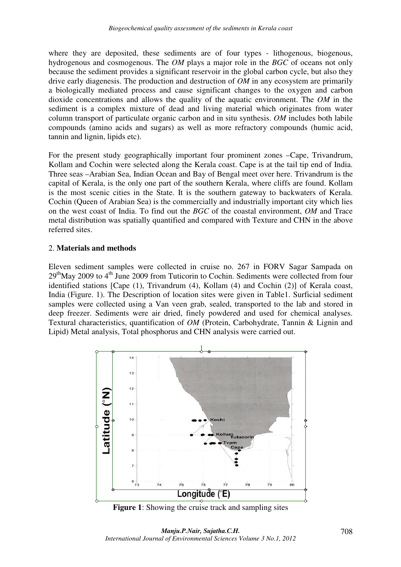where they are deposited, these sediments are of four types - lithogenous, biogenous, hydrogenous and cosmogenous. The *OM* plays a major role in the *BGC* of oceans not only because the sediment provides a significant reservoir in the global carbon cycle, but also they drive early diagenesis. The production and destruction of *OM* in any ecosystem are primarily a biologically mediated process and cause significant changes to the oxygen and carbon dioxide concentrations and allows the quality of the aquatic environment. The *OM* in the sediment is a complex mixture of dead and living material which originates from water column transport of particulate organic carbon and in situ synthesis. *OM* includes both labile compounds (amino acids and sugars) as well as more refractory compounds (humic acid, tannin and lignin, lipids etc).

For the present study geographically important four prominent zones –Cape, Trivandrum, Kollam and Cochin were selected along the Kerala coast. Cape is at the tail tip end of India. Three seas –Arabian Sea, Indian Ocean and Bay of Bengal meet over here. Trivandrum is the capital of Kerala, is the only one part of the southern Kerala, where cliffs are found. Kollam is the most scenic cities in the State. It is the southern gateway to backwaters of Kerala. Cochin (Queen of Arabian Sea) is the commercially and industrially important city which lies on the west coast of India. To find out the *BGC* of the coastal environment, *OM* and Trace metal distribution was spatially quantified and compared with Texture and CHN in the above referred sites.

# 2. **Materials and methods**

Eleven sediment samples were collected in cruise no. 267 in FORV Sagar Sampada on 29thMay 2009 to 4th June 2009 from Tuticorin to Cochin. Sediments were collected from four identified stations [Cape (1), Trivandrum (4), Kollam (4) and Cochin (2)] of Kerala coast, India (Figure. 1). The Description of location sites were given in Table1. Surficial sediment samples were collected using a Van veen grab, sealed, transported to the lab and stored in deep freezer. Sediments were air dried, finely powdered and used for chemical analyses. Textural characteristics, quantification of *OM* (Protein, Carbohydrate, Tannin & Lignin and Lipid) Metal analysis, Total phosphorus and CHN analysis were carried out.



**Figure 1**: Showing the cruise track and sampling sites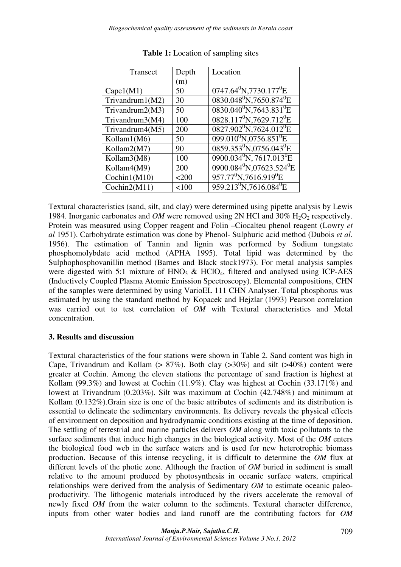| Transect        | Depth    | Location                                       |
|-----------------|----------|------------------------------------------------|
|                 | (m)      |                                                |
| Cape1(M1)       | 50       | $0747.64^{\circ}$ N, 7730.177 $^{\circ}$ E     |
| Trivandrum1(M2) | 30       | $0830.048^{\circ}N,7650.874^{\circ}E$          |
| Trivandrum2(M3) | 50       | $0830.040^0$ N, 7643.831 <sup>0</sup> E        |
| Trivandrum3(M4) | 100      | $0828.117^0$ N, 7629.712 <sup>0</sup> E        |
| Trivandrum4(M5) | 200      | $0827.902^0$ N, 7624.012 <sup>0</sup> E        |
| Kollam1(M6)     | 50       | $099.010^{0}N.0756.851^{0}E$                   |
| Kollam2(M7)     | 90       | $0859.353^{0}N_{,}0756.043^{0}E$               |
| Kollam3(M8)     | 100      | $0900.034^{0}N, 7617.013^{0}E$                 |
| Kollam4(M9)     | 200      | $0900.084^{0}N_{,}07623.524^{0}E$              |
| Cochin1(M10)    | $200$    | $957.77^0$ N, 7616.919 <sup>0</sup> E          |
| Cochin2(M11)    | ${<}100$ | 959.213 <sup>0</sup> N,7616.084 <sup>0</sup> E |

**Table 1:** Location of sampling sites

Textural characteristics (sand, silt, and clay) were determined using pipette analysis by Lewis 1984. Inorganic carbonates and *OM* were removed using 2N HCl and 30% H<sub>2</sub>O<sub>2</sub> respectively. Protein was measured using Copper reagent and Folin –Ciocalteu phenol reagent (Lowry *et al* 1951). Carbohydrate estimation was done by Phenol- Sulphuric acid method (Dubois *et al*. 1956). The estimation of Tannin and lignin was performed by Sodium tungstate phosphomolybdate acid method (APHA 1995). Total lipid was determined by the Sulphophosphovanillin method (Barnes and Black stock1973). For metal analysis samples were digested with 5:1 mixture of  $HNO<sub>3</sub>$  &  $HClO<sub>4</sub>$ , filtered and analysed using ICP-AES (Inductively Coupled Plasma Atomic Emission Spectroscopy). Elemental compositions, CHN of the samples were determined by using VarioEL 111 CHN Analyser. Total phosphorus was estimated by using the standard method by Kopacek and Hejzlar (1993) Pearson correlation was carried out to test correlation of *OM* with Textural characteristics and Metal concentration.

# **3. Results and discussion**

Textural characteristics of the four stations were shown in Table 2. Sand content was high in Cape, Trivandrum and Kollam  $(> 87\%)$ . Both clay  $(>30\%)$  and silt  $(>40\%)$  content were greater at Cochin. Among the eleven stations the percentage of sand fraction is highest at Kollam (99.3%) and lowest at Cochin (11.9%). Clay was highest at Cochin (33.171%) and lowest at Trivandrum (0.203%). Silt was maximum at Cochin (42.748%) and minimum at Kollam (0.132%).Grain size is one of the basic attributes of sediments and its distribution is essential to delineate the sedimentary environments. Its delivery reveals the physical effects of environment on deposition and hydrodynamic conditions existing at the time of deposition. The settling of terrestrial and marine particles delivers *OM* along with toxic pollutants to the surface sediments that induce high changes in the biological activity. Most of the *OM* enters the biological food web in the surface waters and is used for new heterotrophic biomass production. Because of this intense recycling, it is difficult to determine the *OM* flux at different levels of the photic zone. Although the fraction of *OM* buried in sediment is small relative to the amount produced by photosynthesis in oceanic surface waters, empirical relationships were derived from the analysis of Sedimentary *OM* to estimate oceanic paleoproductivity. The lithogenic materials introduced by the rivers accelerate the removal of newly fixed *OM* from the water column to the sediments. Textural character difference, inputs from other water bodies and land runoff are the contributing factors for *OM*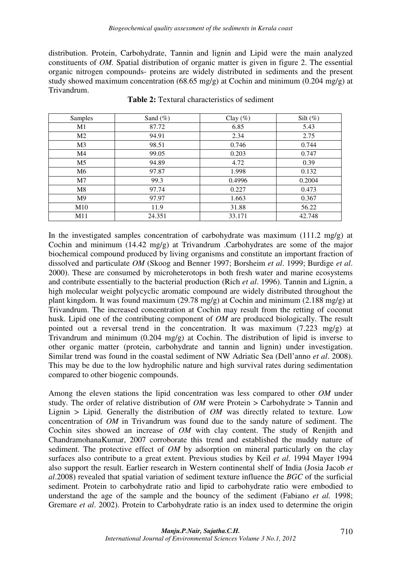distribution. Protein, Carbohydrate, Tannin and lignin and Lipid were the main analyzed constituents of *OM.* Spatial distribution of organic matter is given in figure 2. The essential organic nitrogen compounds- proteins are widely distributed in sediments and the present study showed maximum concentration  $(68.65 \text{ mg/g})$  at Cochin and minimum  $(0.204 \text{ mg/g})$  at Trivandrum.

| Samples        | Sand $(\%)$ | Clay $(\%)$ | Silt $(\%)$ |
|----------------|-------------|-------------|-------------|
| M1             | 87.72       | 6.85        | 5.43        |
| M <sub>2</sub> | 94.91       | 2.34        | 2.75        |
| M <sub>3</sub> | 98.51       | 0.746       | 0.744       |
| M4             | 99.05       | 0.203       | 0.747       |
| M <sub>5</sub> | 94.89       | 4.72        | 0.39        |
| M6             | 97.87       | 1.998       | 0.132       |
| M <sub>7</sub> | 99.3        | 0.4996      | 0.2004      |
| M8             | 97.74       | 0.227       | 0.473       |
| M9             | 97.97       | 1.663       | 0.367       |
| M10            | 11.9        | 31.88       | 56.22       |
| M11            | 24.351      | 33.171      | 42.748      |

**Table 2:** Textural characteristics of sediment

In the investigated samples concentration of carbohydrate was maximum (111.2 mg/g) at Cochin and minimum (14.42 mg/g) at Trivandrum .Carbohydrates are some of the major biochemical compound produced by living organisms and constitute an important fraction of dissolved and particulate *OM* (Skoog and Benner 1997; Borsheim *et al*. 1999; Burdige *et al*. 2000). These are consumed by microheterotops in both fresh water and marine ecosystems and contribute essentially to the bacterial production (Rich *et al*. 1996). Tannin and Lignin, a high molecular weight polycyclic aromatic compound are widely distributed throughout the plant kingdom. It was found maximum (29.78 mg/g) at Cochin and minimum (2.188 mg/g) at Trivandrum. The increased concentration at Cochin may result from the retting of coconut husk. Lipid one of the contributing component of *OM* are produced biologically. The result pointed out a reversal trend in the concentration. It was maximum (7.223 mg/g) at Trivandrum and minimum (0.204 mg/g) at Cochin. The distribution of lipid is inverse to other organic matter (protein, carbohydrate and tannin and lignin) under investigation. Similar trend was found in the coastal sediment of NW Adriatic Sea (Dell'anno *et al*. 2008). This may be due to the low hydrophilic nature and high survival rates during sedimentation compared to other biogenic compounds.

Among the eleven stations the lipid concentration was less compared to other *OM* under study. The order of relative distribution of *OM* were Protein > Carbohydrate > Tannin and Lignin > Lipid. Generally the distribution of *OM* was directly related to texture. Low concentration of *OM* in Trivandrum was found due to the sandy nature of sediment. The Cochin sites showed an increase of *OM* with clay content. The study of Renjith and ChandramohanaKumar, 2007 corroborate this trend and established the muddy nature of sediment. The protective effect of *OM* by adsorption on mineral particularly on the clay surfaces also contribute to a great extent. Previous studies by Keil *et al*. 1994 Mayer 1994 also support the result. Earlier research in Western continental shelf of India (Josia Jacob *et al*.2008) revealed that spatial variation of sediment texture influence the *BGC* of the surficial sediment. Protein to carbohydrate ratio and lipid to carbohydrate ratio were embodied to understand the age of the sample and the bouncy of the sediment (Fabiano *et al.* 1998; Gremare *et al*. 2002). Protein to Carbohydrate ratio is an index used to determine the origin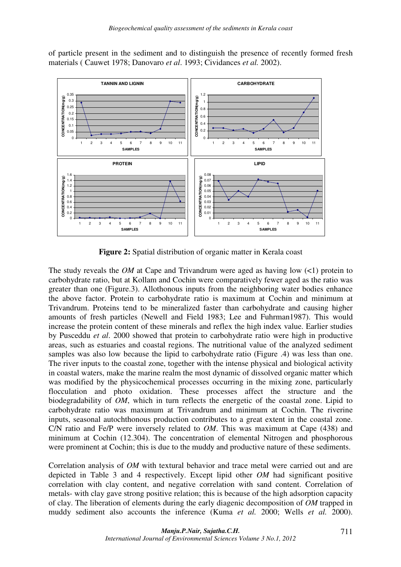of particle present in the sediment and to distinguish the presence of recently formed fresh materials ( Cauwet 1978; Danovaro *et al*. 1993; Cividances *et al.* 2002).



**Figure 2:** Spatial distribution of organic matter in Kerala coast

The study reveals the *OM* at Cape and Trivandrum were aged as having low (<1) protein to carbohydrate ratio, but at Kollam and Cochin were comparatively fewer aged as the ratio was greater than one (Figure.3). Allothonous inputs from the neighboring water bodies enhance the above factor. Protein to carbohydrate ratio is maximum at Cochin and minimum at Trivandrum. Proteins tend to be mineralized faster than carbohydrate and causing higher amounts of fresh particles (Newell and Field 1983; Lee and Fuhrman1987). This would increase the protein content of these minerals and reflex the high index value. Earlier studies by Pusceddu *et al*. 2000 showed that protein to carbohydrate ratio were high in productive areas, such as estuaries and coastal regions. The nutritional value of the analyzed sediment samples was also low because the lipid to carbohydrate ratio (Figure .4) was less than one. The river inputs to the coastal zone, together with the intense physical and biological activity in coastal waters, make the marine realm the most dynamic of dissolved organic matter which was modified by the physicochemical processes occurring in the mixing zone, particularly flocculation and photo oxidation. These processes affect the structure and the biodegradability of *OM*, which in turn reflects the energetic of the coastal zone. Lipid to carbohydrate ratio was maximum at Trivandrum and minimum at Cochin. The riverine inputs, seasonal autochthonous production contributes to a great extent in the coastal zone. C/N ratio and Fe/P were inversely related to *OM*. This was maximum at Cape (438) and minimum at Cochin (12.304). The concentration of elemental Nitrogen and phosphorous were prominent at Cochin; this is due to the muddy and productive nature of these sediments.

Correlation analysis of *OM* with textural behavior and trace metal were carried out and are depicted in Table 3 and 4 respectively. Except lipid other *OM* had significant positive correlation with clay content, and negative correlation with sand content. Correlation of metals- with clay gave strong positive relation; this is because of the high adsorption capacity of clay. The liberation of elements during the early diagenic decomposition of *OM* trapped in muddy sediment also accounts the inference (Kuma *et al.* 2000; Wells *et al.* 2000).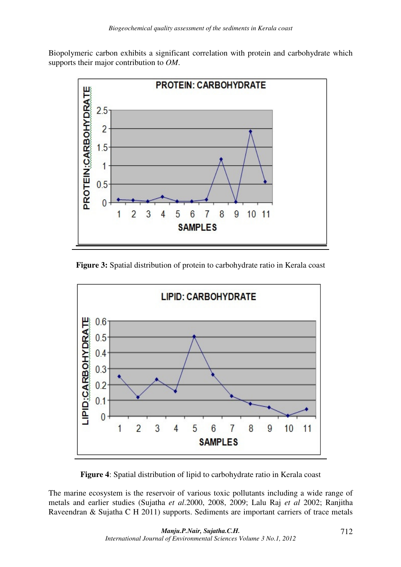Biopolymeric carbon exhibits a significant correlation with protein and carbohydrate which supports their major contribution to *OM*.



**Figure 3:** Spatial distribution of protein to carbohydrate ratio in Kerala coast



**Figure 4**: Spatial distribution of lipid to carbohydrate ratio in Kerala coast

The marine ecosystem is the reservoir of various toxic pollutants including a wide range of metals and earlier studies (Sujatha *et al*.2000, 2008, 2009; Lalu Raj *et al* 2002; Ranjitha Raveendran & Sujatha C H 2011) supports. Sediments are important carriers of trace metals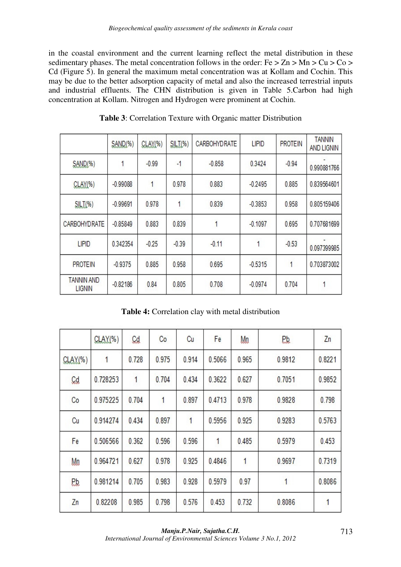in the coastal environment and the current learning reflect the metal distribution in these sedimentary phases. The metal concentration follows in the order:  $Fe > Zn > Mn > Cu > Co >$ Cd (Figure 5). In general the maximum metal concentration was at Kollam and Cochin. This may be due to the better adsorption capacity of metal and also the increased terrestrial inputs and industrial effluents. The CHN distribution is given in Table 5.Carbon had high concentration at Kollam. Nitrogen and Hydrogen were prominent at Cochin.

|                                    | SAND <sub>(%)</sub> | GLAY(%) | $SILI$ (%) | CARBOHYDRATE | <b>LIPID</b> | <b>PROTEIN</b> | <b>TANNIN</b><br><b>AND LIGNIN</b> |
|------------------------------------|---------------------|---------|------------|--------------|--------------|----------------|------------------------------------|
| $SAND(*)$                          | 1                   | $-0.99$ | $-1$       | $-0.858$     | 0.3424       | $-0.94$        | 0.990881766                        |
| CLAY(%)                            | $-0.99088$          | 1       | 0.978      | 0.883        | $-0.2495$    | 0.885          | 0.839564601                        |
| SILI(%)                            | $-0.99691$          | 0.978   | 1          | 0.839        | $-0.3853$    | 0.958          | 0.805159406                        |
| CARBOHYDRATE                       | $-0.85849$          | 0.883   | 0.839      | 1            | $-0.1097$    | 0.695          | 0.707681699                        |
| <b>LIPID</b>                       | 0.342354            | $-0.25$ | $-0.39$    | $-0.11$      | 1            | $-0.53$        | 0.097399985                        |
| <b>PROTEIN</b>                     | $-0.9375$           | 0.885   | 0.958      | 0.695        | $-0.5315$    |                | 0.703873002                        |
| <b>TANNIN AND</b><br><b>LIGNIN</b> | $-0.82186$          | 0.84    | 0.805      | 0.708        | $-0.0974$    | 0.704          | 1                                  |

**Table 3**: Correlation Texture with Organic matter Distribution

**Table 4:** Correlation clay with metal distribution

|           | $CLAY(*)$ | Cd    | Co    | Cu    | Fe     | Mn    | P.b.   | Zn     |
|-----------|-----------|-------|-------|-------|--------|-------|--------|--------|
| $CLAY(*)$ | 1         | 0.728 | 0.975 | 0.914 | 0.5066 | 0.965 | 0.9812 | 0.8221 |
| C.d.      | 0.728253  | 1     | 0.704 | 0.434 | 0.3622 | 0.627 | 0.7051 | 0.9852 |
| Co        | 0.975225  | 0.704 | 1     | 0.897 | 0.4713 | 0.978 | 0.9828 | 0.798  |
| Cu        | 0.914274  | 0.434 | 0.897 | 1     | 0.5956 | 0.925 | 0.9283 | 0.5763 |
| Fe        | 0.506566  | 0.362 | 0.596 | 0.596 | 1      | 0.485 | 0.5979 | 0.453  |
| Mn        | 0.964721  | 0.627 | 0.978 | 0.925 | 0.4846 | 1     | 0.9697 | 0.7319 |
| Рb.       | 0.981214  | 0.705 | 0.983 | 0.928 | 0.5979 | 0.97  | 1      | 0.8086 |
| Zn        | 0.82208   | 0.985 | 0.798 | 0.576 | 0.453  | 0.732 | 0.8086 | 1      |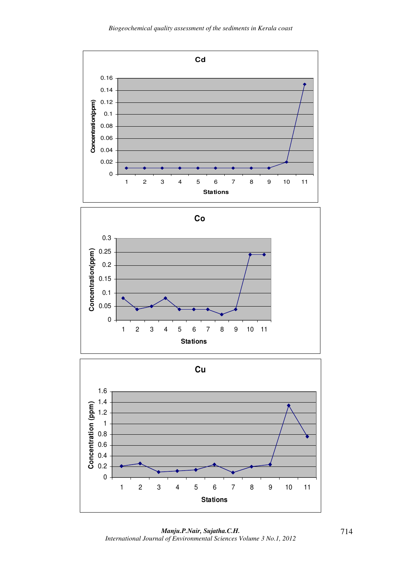

*Manju.P.Nair, Sujatha.C.H. International Journal of Environmental Sciences Volume 3 No.1, 2012*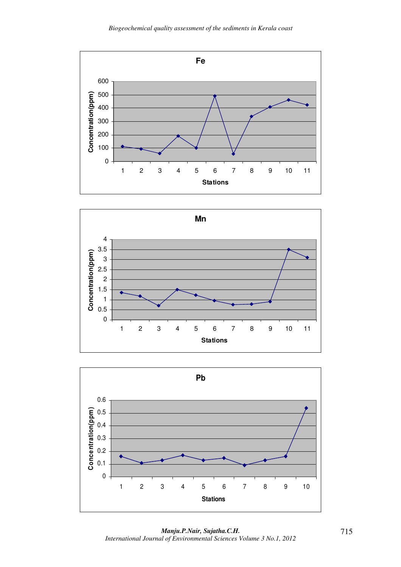





*Manju.P.Nair, Sujatha.C.H. International Journal of Environmental Sciences Volume 3 No.1, 2012*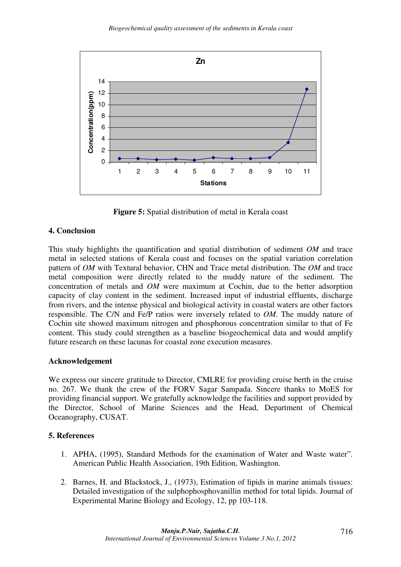

**Figure 5:** Spatial distribution of metal in Kerala coast

# **4. Conclusion**

This study highlights the quantification and spatial distribution of sediment *OM* and trace metal in selected stations of Kerala coast and focuses on the spatial variation correlation pattern of *OM* with Textural behavior, CHN and Trace metal distribution. The *OM* and trace metal composition were directly related to the muddy nature of the sediment. The concentration of metals and *OM* were maximum at Cochin, due to the better adsorption capacity of clay content in the sediment. Increased input of industrial effluents, discharge from rivers, and the intense physical and biological activity in coastal waters are other factors responsible. The C/N and Fe/P ratios were inversely related to *OM*. The muddy nature of Cochin site showed maximum nitrogen and phosphorous concentration similar to that of Fe content. This study could strengthen as a baseline biogeochemical data and would amplify future research on these lacunas for coastal zone execution measures.

## **Acknowledgement**

We express our sincere gratitude to Director, CMLRE for providing cruise berth in the cruise no. 267. We thank the crew of the FORV Sagar Sampada. Sincere thanks to MoES for providing financial support. We gratefully acknowledge the facilities and support provided by the Director, School of Marine Sciences and the Head, Department of Chemical Oceanography, CUSAT.

## **5. References**

- 1. APHA, (1995), Standard Methods for the examination of Water and Waste water". American Public Health Association, 19th Edition, Washington.
- 2. Barnes, H. and Blackstock, J., (1973), Estimation of lipids in marine animals tissues: Detailed investigation of the sulphophosphovanillin method for total lipids. Journal of Experimental Marine Biology and Ecology, 12, pp 103-118.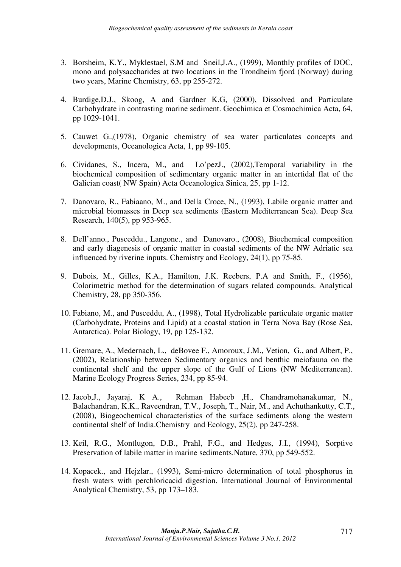- 3. Borsheim, K.Y., Myklestael, S.M and Sneil,J.A., (1999), Monthly profiles of DOC, mono and polysaccharides at two locations in the Trondheim fjord (Norway) during two years, Marine Chemistry, 63, pp 255-272.
- 4. Burdige,D.J., Skoog, A and Gardner K.G, (2000), Dissolved and Particulate Carbohydrate in contrasting marine sediment. Geochimica et Cosmochimica Acta, 64, pp 1029-1041.
- 5. Cauwet G.,(1978), Organic chemistry of sea water particulates concepts and developments, Oceanologica Acta, 1, pp 99-105.
- 6. Cividanes, S., Incera, M., and Lo'pezJ., (2002),Temporal variability in the biochemical composition of sedimentary organic matter in an intertidal flat of the Galician coast( NW Spain) Acta Oceanologica Sinica, 25, pp 1-12.
- 7. Danovaro, R., Fabiaano, M., and Della Croce, N., (1993), Labile organic matter and microbial biomasses in Deep sea sediments (Eastern Mediterranean Sea). Deep Sea Research, 140(5), pp 953-965.
- 8. Dell'anno., Pusceddu., Langone., and Danovaro., (2008), Biochemical composition and early diagenesis of organic matter in coastal sediments of the NW Adriatic sea influenced by riverine inputs. Chemistry and Ecology, 24(1), pp 75-85.
- 9. Dubois, M., Gilles, K.A., Hamilton, J.K. Reebers, P.A and Smith, F., (1956), Colorimetric method for the determination of sugars related compounds. Analytical Chemistry, 28, pp 350-356.
- 10. Fabiano, M., and Pusceddu, A., (1998), Total Hydrolizable particulate organic matter (Carbohydrate, Proteins and Lipid) at a coastal station in Terra Nova Bay (Rose Sea, Antarctica). Polar Biology, 19, pp 125-132.
- 11. Gremare, A., Medernach, L., deBovee F., Amoroux, J.M., Vetion, G., and Albert, P., (2002), Relationship between Sedimentary organics and benthic meiofauna on the continental shelf and the upper slope of the Gulf of Lions (NW Mediterranean). Marine Ecology Progress Series, 234, pp 85-94.
- 12. Jacob,J., Jayaraj, K A., Rehman Habeeb ,H., Chandramohanakumar, N., Balachandran, K.K., Raveendran, T.V., Joseph, T., Nair, M., and Achuthankutty, C.T., (2008), Biogeochemical characteristics of the surface sediments along the western continental shelf of India.Chemistry and Ecology, 25(2), pp 247-258.
- 13. Keil, R.G., Montlugon, D.B., Prahl, F.G., and Hedges, J.I., (1994), Sorptive Preservation of labile matter in marine sediments.Nature, 370, pp 549-552.
- 14. Kopacek., and Hejzlar., (1993), Semi-micro determination of total phosphorus in fresh waters with perchloricacid digestion. International Journal of Environmental Analytical Chemistry, 53, pp 173–183.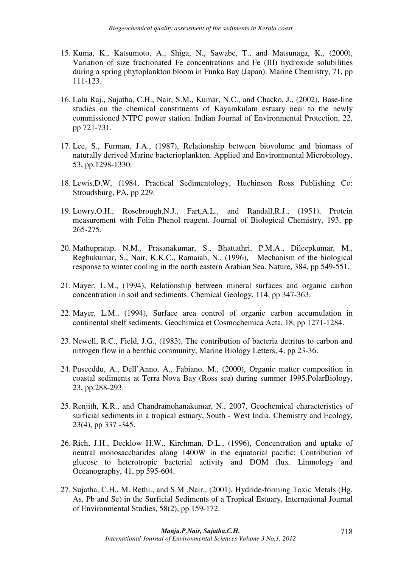- 15. Kuma, K., Katsumoto, A., Shiga, N., Sawabe, T., and Matsunaga, K., (2000), Variation of size fractionated Fe concentrations and Fe (III) hydroxide solubilities during a spring phytoplankton bloom in Funka Bay (Japan). Marine Chemistry, 71, pp 111-123.
- 16. Lalu Raj., Sujatha, C.H., Nair, S.M., Kumar, N.C., and Chacko, J., (2002), Base-line studies on the chemical constituents of Kayamkulam estuary near to the newly commissioned NTPC power station. Indian Journal of Environmental Protection, 22, pp 721-731.
- 17. Lee, S., Furman, J.A., (1987), Relationship between biovolume and biomass of naturally derived Marine bacterioplankton. Applied and Environmental Microbiology, 53, pp.1298-1330.
- 18. Lewis,D.W, (1984, Practical Sedimentology, Huchinson Ross Publishing Co: Stroudsburg, PA, pp 229.
- 19. Lowry,O.H., Rosebrough,N.J., Fart,A.L., and Randall,R.J., (1951), Protein measurement with Folin Phenol reagent. Journal of Biological Chemistry, 193, pp 265-275.
- 20. Mathupratap, N.M., Prasanakumar, S., Bhattathri, P.M.A., Dileepkumar, M., Reghukumar, S., Nair, K.K.C., Ramaiah, N., (1996), Mechanism of the biological response to winter cooling in the north eastern Arabian Sea. Nature, 384, pp 549-551.
- 21. Mayer, L.M., (1994), Relationship between mineral surfaces and organic carbon concentration in soil and sediments. Chemical Geology, 114, pp 347-363.
- 22. Mayer, L.M., (1994), Surface area control of organic carbon accumulation in continental shelf sediments, Geochimica et Cosmochemica Acta, 18, pp 1271-1284.
- 23. Newell, R.C., Field, J.G., (1983), The contribution of bacteria detritus to carbon and nitrogen flow in a benthic community, Marine Biology Letters, 4, pp 23-36.
- 24. Pusceddu, A., Dell'Anno, A., Fabiano, M., (2000), Organic matter composition in coastal sediments at Terra Nova Bay (Ross sea) during summer 1995.PolarBiology, 23, pp.288-293.
- 25. Renjith, K.R., and Chandramohanakumar, N., 2007, Geochemical characteristics of surficial sediments in a tropical estuary, South - West India. Chemistry and Ecology, 23(4), pp 337 -345.
- 26. Rich, J.H., Decklow H.W., Kirchman, D.L., (1996), Concentration and uptake of neutral monosaccharides along 1400W in the equatorial pacific: Contribution of glucose to heterotropic bacterial activity and DOM flux. Limnology and Oceanography, 41, pp 595-604.
- 27. Sujatha, C.H., M. Rethi., and S.M .Nair., (2001), Hydride-forming Toxic Metals (Hg, As, Pb and Se) in the Surficial Sediments of a Tropical Estuary, International Journal of Environmental Studies, 58(2), pp 159-172.